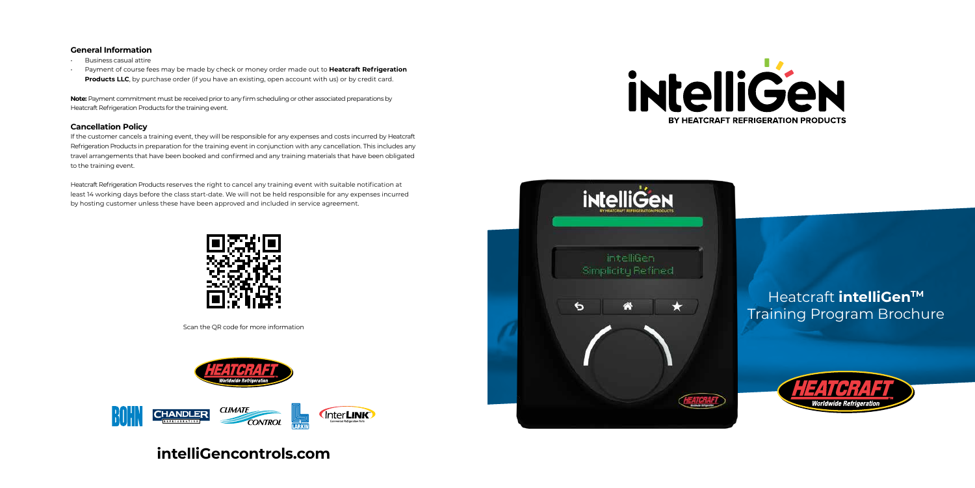# Heatcraft *intelliGen<sup>™</sup>* Training Program Brochure



- Business casual attire
- Payment of course fees may be made by check or money order made out to **Heatcraft Refrigeration Products LLC**, by purchase order (if you have an existing, open account with us) or by credit card.

# **intelliGencontrols.com**





# **General Information**

**Note:** Payment commitment must be received prior to any firm scheduling or other associated preparations by Heatcraft Refrigeration Products for the training event.

# **Cancellation Policy**

If the customer cancels a training event, they will be responsible for any expenses and costs incurred by Heatcraft Refrigeration Products in preparation for the training event in conjunction with any cancellation. This includes any travel arrangements that have been booked and confirmed and any training materials that have been obligated to the training event.

Heatcraft Refrigeration Products reserves the right to cancel any training event with suitable notification at least 14 working days before the class start-date. We will not be held responsible for any expenses incurred by hosting customer unless these have been approved and included in service agreement.



Scan the QR code for more information